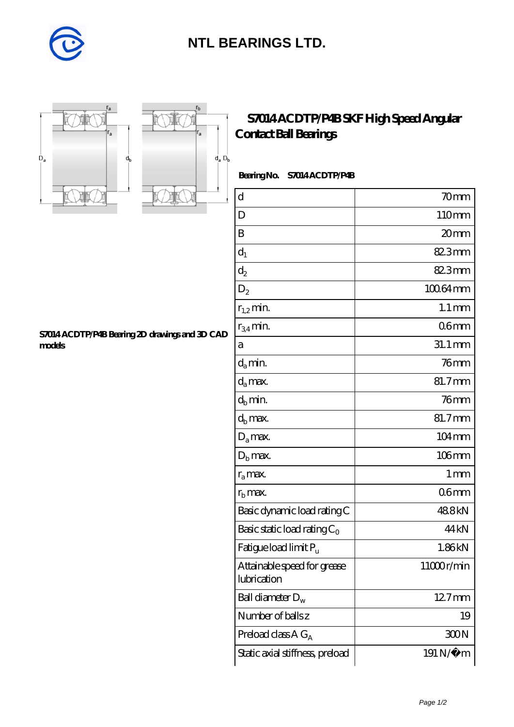

## **[NTL BEARINGS LTD.](https://diabetesfriends.net)**





### **[S7014 ACDTP/P4B SKF High Speed Angular](https://diabetesfriends.net/skf-bearing/s7014-acdtp-p4b.html) [Contact Ball Bearings](https://diabetesfriends.net/skf-bearing/s7014-acdtp-p4b.html)**

### **Bearing No. S7014 ACDTP/P4B**

| $\mathbf d$                                | 70mm                 |
|--------------------------------------------|----------------------|
| D                                          | 110mm                |
| B                                          | 20 <sub>mm</sub>     |
| $d_1$                                      | 82.3mm               |
| $\mathrm{d}_2$                             | 82.3mm               |
| $D_2$                                      | 10064mm              |
| $r_{1,2}$ min.                             | $1.1 \,\mathrm{mm}$  |
| $r_{34}$ min.                              | 06 <sub>mm</sub>     |
| а                                          | $31.1 \,\mathrm{mm}$ |
| $d_a$ min.                                 | $76$ mm              |
| $d_a$ max.                                 | 81.7mm               |
| $d_b$ min.                                 | $76$ mm              |
| $d_h$ max.                                 | 81.7mm               |
| $D_a$ max.                                 | $104 \,\mathrm{mm}$  |
| $D_{\rm b}$ max.                           | 106mm                |
| $r_a$ max.                                 | $1 \,\mathrm{mm}$    |
| $rb$ max.                                  | 06 <sub>mm</sub>     |
| Basic dynamic load rating C                | 488kN                |
| Basic static load rating $C_0$             | 44 <sub>kN</sub>     |
| Fatigue load limit $P_{\rm u}$             | 1.86kN               |
| Attainable speed for grease<br>lubrication | 11000r/min           |
| Ball diameter $D_w$                        | 12.7mm               |
| Number of balls z                          | 19                   |
| Preload class $AG_A$                       | 300N                 |
| Static axial stiffness, preload            | 191 N/μ m            |

#### **[S7014 ACDTP/P4B Bearing 2D drawings and 3D CAD](https://diabetesfriends.net/pic-590843.html) [models](https://diabetesfriends.net/pic-590843.html)**